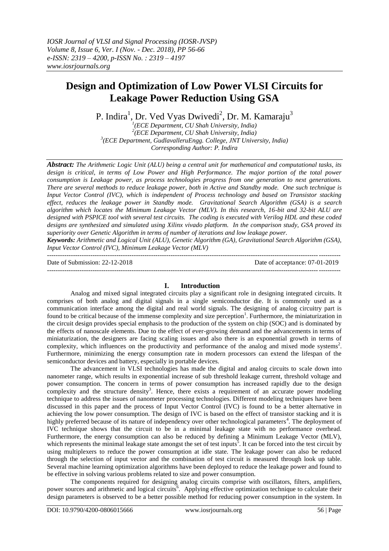# **Design and Optimization of Low Power VLSI Circuits for Leakage Power Reduction Using GSA**

P. Indira<sup>1</sup>, Dr. Ved Vyas Dwivedi<sup>2</sup>, Dr. M. Kamaraju<sup>3</sup>

 *(ECE Department, CU Shah University, India) (ECE Department, CU Shah University, India) (ECE Department, GudlavalleruEngg. College, JNT University, India) Corresponding Author: P. Indira*

*Abstract: The Arithmetic Logic Unit (ALU) being a central unit for mathematical and computational tasks, its design is critical, in terms of Low Power and High Performance. The major portion of the total power consumption is Leakage power, as process technologies progress from one generation to next generations. There are several methods to reduce leakage power, both in Active and Standby mode. One such technique is Input Vector Control (IVC), which is independent of Process technology and based on Transistor stacking effect, reduces the leakage power in Standby mode. Gravitational Search Algorithm (GSA) is a search algorithm which locates the Minimum Leakage Vector (MLV). In this research, 16-bit and 32-bit ALU are designed with PSPICE tool with several test circuits. The coding is executed with Verilog HDL and these coded designs are synthesized and simulated using Xilinx vivado platform. In the comparison study, GSA proved its superiority over Genetic Algorithm in terms of number of iterations and low leakage power.*

*Keywords: Arithmetic and Logical Unit (ALU), Genetic Algorithm (GA), Gravitational Search Algorithm (GSA), Input Vector Control (IVC), Minimum Leakage Vector (MLV)*  ---------------------------------------------------------------------------------------------------------------------------------------

Date of Submission: 22-12-2018 Date of acceptance: 07-01-2019 ---------------------------------------------------------------------------------------------------------------------------------------

## **I. Introduction**

Analog and mixed signal integrated circuits play a significant role in designing integrated circuits. It comprises of both analog and digital signals in a single semiconductor die. It is commonly used as a communication interface among the digital and real world signals. The designing of analog circuitry part is found to be critical because of the immense complexity and size perception<sup>1</sup>. Furthermore, the miniaturization in the circuit design provides special emphasis to the production of the system on chip (SOC) and is dominated by the effects of nanoscale elements. Due to the effect of ever-growing demand and the advancements in terms of miniaturization, the designers are facing scaling issues and also there is an exponential growth in terms of complexity, which influences on the productivity and performance of the analog and mixed mode systems<sup>2</sup>. Furthermore, minimizing the energy consumption rate in modern processors can extend the lifespan of the semiconductor devices and battery, especially in portable devices.

The advancement in VLSI technologies has made the digital and analog circuits to scale down into nanometer range, which results in exponential increase of sub threshold leakage current, threshold voltage and power consumption. The concern in terms of power consumption has increased rapidly due to the design complexity and the structure density<sup>3</sup>. Hence, there exists a requirement of an accurate power modeling technique to address the issues of nanometer processing technologies. Different modeling techniques have been discussed in this paper and the process of Input Vector Control (IVC) is found to be a better alternative in achieving the low power consumption. The design of IVC is based on the effect of transistor stacking and it is highly preferred because of its nature of independency over other technological parameters<sup>4</sup>. The deployment of IVC technique shows that the circuit to be in a minimal leakage state with no performance overhead. Furthermore, the energy consumption can also be reduced by defining a Minimum Leakage Vector (MLV), which represents the minimal leakage state amongst the set of test inputs<sup>5</sup>. It can be forced into the test circuit by using multiplexers to reduce the power consumption at idle state. The leakage power can also be reduced through the selection of input vector and the combination of test circuit is measured through look up table. Several machine learning optimization algorithms have been deployed to reduce the leakage power and found to be effective in solving various problems related to size and power consumption.

The components required for designing analog circuits comprise with oscillators, filters, amplifiers, power sources and arithmetic and logical circuits<sup>6</sup>. Applying effective optimization technique to calculate their design parameters is observed to be a better possible method for reducing power consumption in the system. In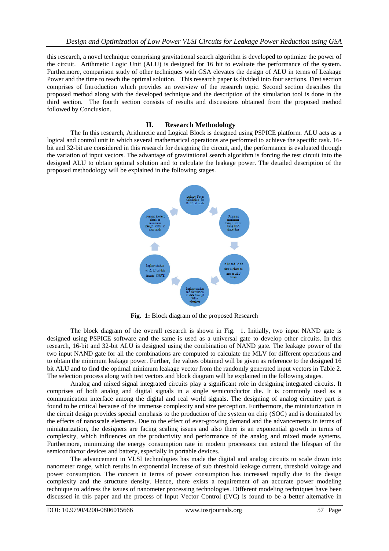this research, a novel technique comprising gravitational search algorithm is developed to optimize the power of the circuit. Arithmetic Logic Unit (ALU) is designed for 16 bit to evaluate the performance of the system. Furthermore, comparison study of other techniques with GSA elevates the design of ALU in terms of Leakage Power and the time to reach the optimal solution. This research paper is divided into four sections. First section comprises of Introduction which provides an overview of the research topic. Second section describes the proposed method along with the developed technique and the description of the simulation tool is done in the third section. The fourth section consists of results and discussions obtained from the proposed method followed by Conclusion.

## **II. Research Methodology**

The In this research, Arithmetic and Logical Block is designed using PSPICE platform. ALU acts as a logical and control unit in which several mathematical operations are performed to achieve the specific task. 16 bit and 32-bit are considered in this research for designing the circuit, and, the performance is evaluated through the variation of input vectors. The advantage of gravitational search algorithm is forcing the test circuit into the designed ALU to obtain optimal solution and to calculate the leakage power. The detailed description of the proposed methodology will be explained in the following stages.



**Fig. 1:** Block diagram of the proposed Research

The block diagram of the overall research is shown in Fig. 1. Initially, two input NAND gate is designed using PSPICE software and the same is used as a universal gate to develop other circuits. In this research, 16-bit and 32-bit ALU is designed using the combination of NAND gate. The leakage power of the two input NAND gate for all the combinations are computed to calculate the MLV for different operations and to obtain the minimum leakage power. Further, the values obtained will be given as reference to the designed 16 bit ALU and to find the optimal minimum leakage vector from the randomly generated input vectors in Table 2. The selection process along with test vectors and block diagram will be explained in the following stages.

Analog and mixed signal integrated circuits play a significant role in designing integrated circuits. It comprises of both analog and digital signals in a single semiconductor die. It is commonly used as a communication interface among the digital and real world signals. The designing of analog circuitry part is found to be critical because of the immense complexity and size perception. Furthermore, the miniaturization in the circuit design provides special emphasis to the production of the system on chip (SOC) and is dominated by the effects of nanoscale elements. Due to the effect of ever-growing demand and the advancements in terms of miniaturization, the designers are facing scaling issues and also there is an exponential growth in terms of complexity, which influences on the productivity and performance of the analog and mixed mode systems. Furthermore, minimizing the energy consumption rate in modern processors can extend the lifespan of the semiconductor devices and battery, especially in portable devices.

The advancement in VLSI technologies has made the digital and analog circuits to scale down into nanometer range, which results in exponential increase of sub threshold leakage current, threshold voltage and power consumption. The concern in terms of power consumption has increased rapidly due to the design complexity and the structure density. Hence, there exists a requirement of an accurate power modeling technique to address the issues of nanometer processing technologies. Different modeling techniques have been discussed in this paper and the process of Input Vector Control (IVC) is found to be a better alternative in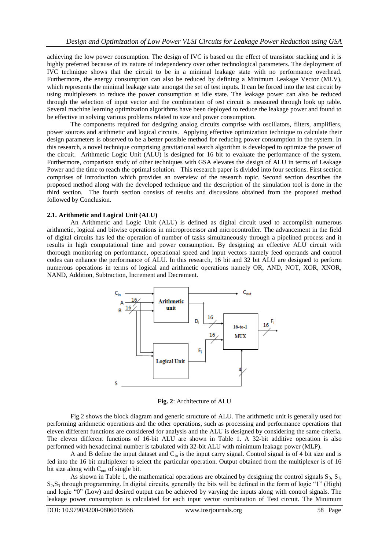achieving the low power consumption. The design of IVC is based on the effect of transistor stacking and it is highly preferred because of its nature of independency over other technological parameters. The deployment of IVC technique shows that the circuit to be in a minimal leakage state with no performance overhead. Furthermore, the energy consumption can also be reduced by defining a Minimum Leakage Vector (MLV), which represents the minimal leakage state amongst the set of test inputs. It can be forced into the test circuit by using multiplexers to reduce the power consumption at idle state. The leakage power can also be reduced through the selection of input vector and the combination of test circuit is measured through look up table. Several machine learning optimization algorithms have been deployed to reduce the leakage power and found to be effective in solving various problems related to size and power consumption.

The components required for designing analog circuits comprise with oscillators, filters, amplifiers, power sources and arithmetic and logical circuits. Applying effective optimization technique to calculate their design parameters is observed to be a better possible method for reducing power consumption in the system. In this research, a novel technique comprising gravitational search algorithm is developed to optimize the power of the circuit. Arithmetic Logic Unit (ALU) is designed for 16 bit to evaluate the performance of the system. Furthermore, comparison study of other techniques with GSA elevates the design of ALU in terms of Leakage Power and the time to reach the optimal solution. This research paper is divided into four sections. First section comprises of Introduction which provides an overview of the research topic. Second section describes the proposed method along with the developed technique and the description of the simulation tool is done in the third section. The fourth section consists of results and discussions obtained from the proposed method followed by Conclusion.

## **2.1. Arithmetic and Logical Unit (ALU)**

An Arithmetic and Logic Unit (ALU) is defined as digital circuit used to accomplish numerous arithmetic, logical and bitwise operations in microprocessor and microcontroller. The advancement in the field of digital circuits has led the operation of number of tasks simultaneously through a pipelined process and it results in high computational time and power consumption. By designing an effective ALU circuit with thorough monitoring on performance, operational speed and input vectors namely feed operands and control codes can enhance the performance of ALU. In this research, 16 bit and 32 bit ALU are designed to perform numerous operations in terms of logical and arithmetic operations namely OR, AND, NOT, XOR, XNOR, NAND, Addition, Subtraction, Increment and Decrement.



**Fig. 2**: Architecture of ALU

Fig.2 shows the block diagram and generic structure of ALU. The arithmetic unit is generally used for performing arithmetic operations and the other operations, such as processing and performance operations that eleven different functions are considered for analysis and the ALU is designed by considering the same criteria. The eleven different functions of 16-bit ALU are shown in Table 1. A 32-bit additive operation is also performed with hexadecimal number is tabulated with 32-bit ALU with minimum leakage power (MLP).

A and B define the input dataset and  $C_{in}$  is the input carry signal. Control signal is of 4 bit size and is fed into the 16 bit multiplexer to select the particular operation. Output obtained from the multiplexer is of 16 bit size along with  $C_{\text{out}}$  of single bit.

As shown in Table 1, the mathematical operations are obtained by designing the control signals  $S_0$ ,  $S_1$ ,  $S_2, S_3$  through programming. In digital circuits, generally the bits will be defined in the form of logic "1" (High) and logic "0" (Low) and desired output can be achieved by varying the inputs along with control signals. The leakage power consumption is calculated for each input vector combination of Test circuit. The Minimum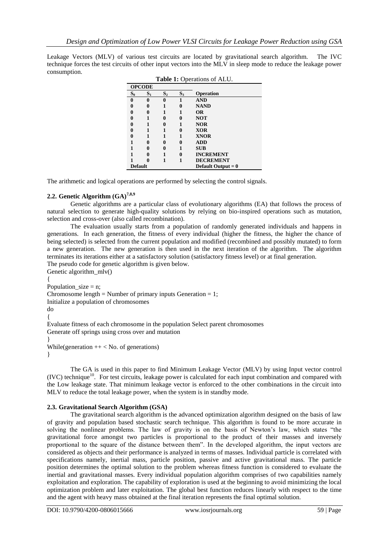Leakage Vectors (MLV) of various test circuits are located by gravitational search algorithm. The IVC technique forces the test circuits of other input vectors into the MLV in sleep mode to reduce the leakage power consumption.

| <b>Table 1:</b> Operations of ALU. |                |                |       |                      |
|------------------------------------|----------------|----------------|-------|----------------------|
|                                    | <b>OPCODE</b>  |                |       |                      |
| $S_0$                              | $S_1$          | S <sub>2</sub> | $S_3$ | <b>Operation</b>     |
| $\bf{0}$                           | 0              | 0              |       | <b>AND</b>           |
| 0                                  | 0              |                | 0     | <b>NAND</b>          |
| 0                                  | 0              |                |       | <b>OR</b>            |
| 0                                  |                | 0              | 0     | <b>NOT</b>           |
| 0                                  |                | 0              |       | <b>NOR</b>           |
| 0                                  |                |                | 0     | <b>XOR</b>           |
| 0                                  |                |                |       | <b>XNOR</b>          |
|                                    | 0              | 0              | 0     | <b>ADD</b>           |
|                                    | 0              | 0              |       | <b>SUB</b>           |
| 1                                  |                |                | 0     | <b>INCREMENT</b>     |
|                                    | 0              |                |       | <b>DECREMENT</b>     |
|                                    | <b>Default</b> |                |       | Default Output $= 0$ |

The arithmetic and logical operations are performed by selecting the control signals.

## **2.2. Genetic Algorithm (GA)7,8,9**

Genetic algorithms are a particular class of evolutionary algorithms (EA) that follows the process of natural selection to generate high-quality solutions by relying on bio-inspired operations such as mutation, selection and cross-over (also called recombination).

The evaluation usually starts from a population of randomly generated individuals and happens in generations. In each generation, the fitness of every individual (higher the fitness, the higher the chance of being selected) is selected from the current population and modified (recombined and possibly mutated) to form a new generation. The new generation is then used in the next iteration of the algorithm. The algorithm terminates its iterations either at a satisfactory solution (satisfactory fitness level) or at final generation. The pseudo code for genetic algorithm is given below. Genetic algorithm\_mlv()

{ Population\_size =  $n$ ; Chromosome length = Number of primary inputs Generation = 1; Initialize a population of chromosomes do { Evaluate fitness of each chromosome in the population Select parent chromosomes Generate off springs using cross over and mutation } While(generation  $++ <$  No. of generations) }

The GA is used in this paper to find Minimum Leakage Vector (MLV) by using Input vector control  $(IVC)$  technique<sup>10</sup>. For test circuits, leakage power is calculated for each input combination and compared with the Low leakage state. That minimum leakage vector is enforced to the other combinations in the circuit into MLV to reduce the total leakage power, when the system is in standby mode.

#### **2.3. Gravitational Search Algorithm (GSA)**

The gravitational search algorithm is the advanced optimization algorithm designed on the basis of law of gravity and population based stochastic search technique. This algorithm is found to be more accurate in solving the nonlinear problems. The law of gravity is on the basis of Newton's law, which states "the gravitational force amongst two particles is proportional to the product of their masses and inversely proportional to the square of the distance between them". In the developed algorithm, the input vectors are considered as objects and their performance is analyzed in terms of masses. Individual particle is correlated with specifications namely, inertial mass, particle position, passive and active gravitational mass. The particle position determines the optimal solution to the problem whereas fitness function is considered to evaluate the inertial and gravitational masses. Every individual population algorithm comprises of two capabilities namely exploitation and exploration. The capability of exploration is used at the beginning to avoid minimizing the local optimization problem and later exploitation. The global best function reduces linearly with respect to the time and the agent with heavy mass obtained at the final iteration represents the final optimal solution.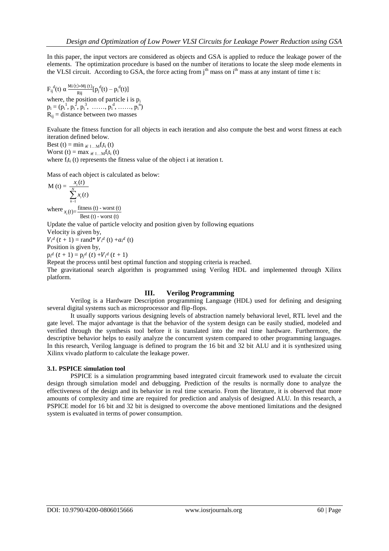In this paper, the input vectors are considered as objects and GSA is applied to reduce the leakage power of the elements. The optimization procedure is based on the number of iterations to locate the sleep mode elements in the VLSI circuit. According to GSA, the force acting from  $i<sup>th</sup>$  mass on  $i<sup>th</sup>$  mass at any instant of time t is:

 $F_{ij}^{d}(t) \alpha \frac{Mi(t) * Mj(t)}{Rij} [p_{j}^{d}(t) - p_{i}^{d}(t)]$ where, the position of particle i is  $p_i$  $p_i = (p_i^1, p_i^2, p_i^3, \ldots, p_i^d, \ldots, p_i^n)$  $R_{ii}$  = distance between two masses

Evaluate the fitness function for all objects in each iteration and also compute the best and worst fitness at each iteration defined below.

Best (t) = min  $_{i \in 1...M} f_i t_i$  (t) **Worst** (**t**) =  $\max_{i \in 1...M} f_i t_i$  (**t**) where  $f_i t_i$  (t) represents the fitness value of the object i at iteration t.

Mass of each object is calculated as below:

$$
\mathbf{M}\left(\mathbf{t}\right) = \frac{x_i(t)}{\sum\limits_{k=1}^{N} x_i(t)}
$$

where  $x_i(t) = \frac{\text{fitness (t) - worst (t)}}{\text{Best (t) - worst (t)}}$ 

Update the value of particle velocity and position given by following equations

Velocity is given by,  $V_i^d$  (t + 1) = rand\*  $V_i^d$  (t) + $a_i^d$  (t) Position is given by,

 $p_i^d (t + 1) = p_j^d (t) + V_i^d (t + 1)$ 

Repeat the process until best optimal function and stopping criteria is reached.

The gravitational search algorithm is programmed using Verilog HDL and implemented through Xilinx platform.

## **III. Verilog Programming**

Verilog is a Hardware Description programming Language (HDL) used for defining and designing several digital systems such as microprocessor and flip-flops.

It usually supports various designing levels of abstraction namely behavioral level, RTL level and the gate level. The major advantage is that the behavior of the system design can be easily studied, modeled and verified through the synthesis tool before it is translated into the real time hardware. Furthermore, the descriptive behavior helps to easily analyze the concurrent system compared to other programming languages. In this research, Verilog language is defined to program the 16 bit and 32 bit ALU and it is synthesized using Xilinx vivado platform to calculate the leakage power.

#### **3.1. PSPICE simulation tool**

PSPICE is a simulation programming based integrated circuit framework used to evaluate the circuit design through simulation model and debugging. Prediction of the results is normally done to analyze the effectiveness of the design and its behavior in real time scenario. From the literature, it is observed that more amounts of complexity and time are required for prediction and analysis of designed ALU. In this research, a PSPICE model for 16 bit and 32 bit is designed to overcome the above mentioned limitations and the designed system is evaluated in terms of power consumption.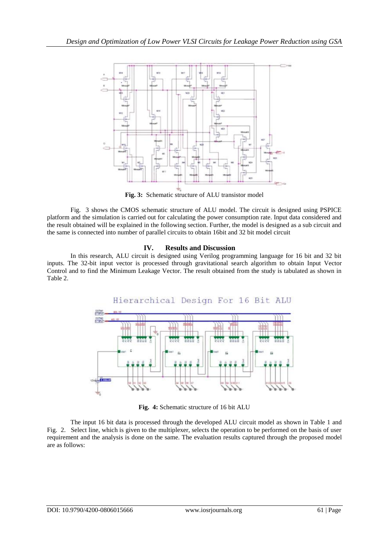

**Fig. 3:** Schematic structure of ALU transistor model

Fig. 3 shows the CMOS schematic structure of ALU model. The circuit is designed using PSPICE platform and the simulation is carried out for calculating the power consumption rate. Input data considered and the result obtained will be explained in the following section. Further, the model is designed as a sub circuit and the same is connected into number of parallel circuits to obtain 16bit and 32 bit model circuit

## **IV. Results and Discussion**

In this research, ALU circuit is designed using Verilog programming language for 16 bit and 32 bit inputs. The 32-bit input vector is processed through gravitational search algorithm to obtain Input Vector Control and to find the Minimum Leakage Vector. The result obtained from the study is tabulated as shown in Table 2.



**Fig. 4:** Schematic structure of 16 bit ALU

The input 16 bit data is processed through the developed ALU circuit model as shown in Table 1 and Fig. 2. Select line, which is given to the multiplexer, selects the operation to be performed on the basis of user requirement and the analysis is done on the same. The evaluation results captured through the proposed model are as follows: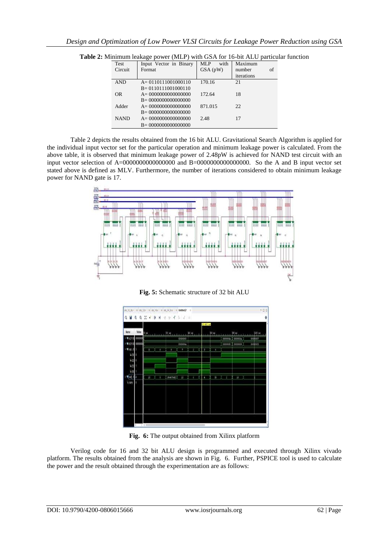| Test        | Input Vector in Binary  | <b>MLP</b><br>with | Maximum      |
|-------------|-------------------------|--------------------|--------------|
| Circuit     | Format                  | GSA(pW)            | of<br>number |
|             |                         |                    | iterations   |
| <b>AND</b>  | $A= 0110111001000110$   | 170.16             | 21           |
|             | $B = 0110111001000110$  |                    |              |
| <b>OR</b>   | $A = 0000000000000000$  | 172.64             | 18           |
|             | $B = 0000000000000000$  |                    |              |
| Adder       | $A= 00000000000000000$  | 871.015            | 22           |
|             | $B = 00000000000000000$ |                    |              |
| <b>NAND</b> | $A= 00000000000000000$  | 2.48               | 17           |
|             | $B = 00000000000000000$ |                    |              |

**Table 2:** Minimum leakage power (MLP) with GSA for 16-bit ALU particular function

Table 2 depicts the results obtained from the 16 bit ALU. Gravitational Search Algorithm is applied for the individual input vector set for the particular operation and minimum leakage power is calculated. From the above table, it is observed that minimum leakage power of 2.48pW is achieved for NAND test circuit with an input vector selection of A=0000000000000000 and B=0000000000000000. So the A and B input vector set stated above is defined as MLV. Furthermore, the number of iterations considered to obtain minimum leakage power for NAND gate is 17.



**Fig. 5:** Schematic structure of 32 bit ALU



**Fig. 6:** The output obtained from Xilinx platform

Verilog code for 16 and 32 bit ALU design is programmed and executed through Xilinx vivado platform. The results obtained from the analysis are shown in Fig. 6. Further, PSPICE tool is used to calculate the power and the result obtained through the experimentation are as follows: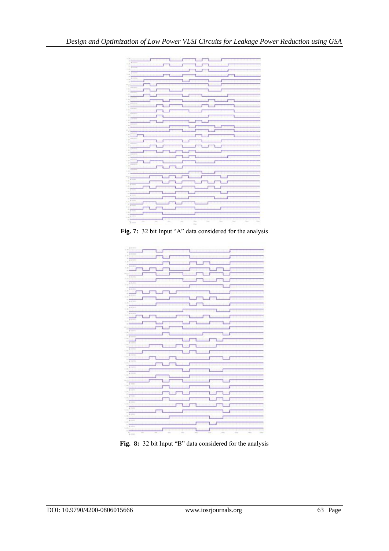

**Fig. 7:** 32 bit Input "A" data considered for the analysis



**Fig. 8:** 32 bit Input "B" data considered for the analysis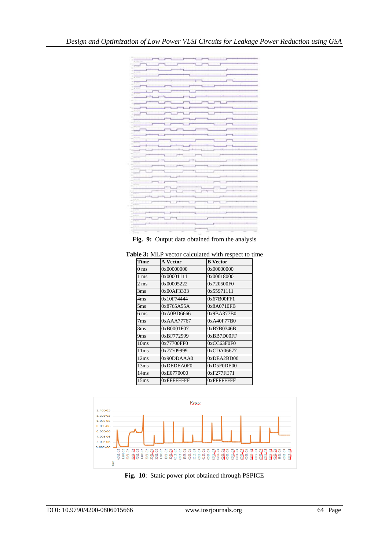| <u> and a strong strong strong strong strong strong strong strong strong strong strong strong strong strong strong strong strong strong strong strong strong strong strong strong strong strong strong strong strong strong stro</u>                                                                                                                                                                                                                                                    |
|-----------------------------------------------------------------------------------------------------------------------------------------------------------------------------------------------------------------------------------------------------------------------------------------------------------------------------------------------------------------------------------------------------------------------------------------------------------------------------------------|
| <u>the contract of the contract of the contract of the contract of the contract of the contract of the contract of the contract of the contract of the contract of the contract of the contract of the contract of the contract </u>                                                                                                                                                                                                                                                    |
| <b>Salesman Committee</b><br>the company's company's company's                                                                                                                                                                                                                                                                                                                                                                                                                          |
|                                                                                                                                                                                                                                                                                                                                                                                                                                                                                         |
| $\overline{1}$ , $\overline{1}$ , $\overline{1}$ , $\overline{1}$ , $\overline{1}$ , $\overline{1}$ , $\overline{1}$                                                                                                                                                                                                                                                                                                                                                                    |
| $\begin{array}{cccccccccccccc} \hline \multicolumn{3}{c}{} & \multicolumn{3}{c}{} & \multicolumn{3}{c}{} & \multicolumn{3}{c}{} & \multicolumn{3}{c}{} & \multicolumn{3}{c}{} & \multicolumn{3}{c}{} & \multicolumn{3}{c}{} & \multicolumn{3}{c}{} & \multicolumn{3}{c}{} & \multicolumn{3}{c}{} & \multicolumn{3}{c}{} & \multicolumn{3}{c}{} & \multicolumn{3}{c}{} & \multicolumn{3}{c}{} & \multicolumn{3}{c}{} & \multicolumn{3}{c}{} & \multicolumn{3}{c}{} & \multicolumn{3}{c}$ |
| $\overline{\phantom{a}}$<br>$\mathbf{1}$ and $\mathbf{1}$ and $\mathbf{1}$ and $\mathbf{1}$ and $\mathbf{1}$ and $\mathbf{1}$ and $\mathbf{1}$ and $\mathbf{1}$ and $\mathbf{1}$ and $\mathbf{1}$ and $\mathbf{1}$ and $\mathbf{1}$ and $\mathbf{1}$ and $\mathbf{1}$ and $\mathbf{1}$ and $\mathbf{1}$ and $\mathbf{1}$ and                                                                                                                                                            |
|                                                                                                                                                                                                                                                                                                                                                                                                                                                                                         |
| <u> The Communication of the Communication of the Communication of the Communication of the Communication of the Communication of the Communication of the Communication of the Communication of the Communication of the Commun</u>                                                                                                                                                                                                                                                    |
| <u>the contract of the contract of the contract of the contract of the contract of the contract of the contract of the contract of the contract of the contract of the contract of the contract of the contract of the contract </u>                                                                                                                                                                                                                                                    |
|                                                                                                                                                                                                                                                                                                                                                                                                                                                                                         |
| <u>the contract of the contract of the contract of the contract of the contract of the contract of the contract of the contract of the contract of the contract of the contract of the contract of the contract of the contract </u>                                                                                                                                                                                                                                                    |
| <u>in the state of the state of the state of the state of the state of the state of the state of the state of the state of the state of the state of the state of the state of the state of the state of the state of the state </u>                                                                                                                                                                                                                                                    |
| <u> San San San Sa</u>                                                                                                                                                                                                                                                                                                                                                                                                                                                                  |
| <u>The contract of the contract of the contract of the contract of the contract of the contract of the contract of the contract of the contract of the contract of the contract of the contract of the contract of the contract </u>                                                                                                                                                                                                                                                    |
| The contract of the contract<br>the contract of the contract of the contract of the contract of the contract of                                                                                                                                                                                                                                                                                                                                                                         |
| and the contract of the contract of                                                                                                                                                                                                                                                                                                                                                                                                                                                     |
|                                                                                                                                                                                                                                                                                                                                                                                                                                                                                         |
| the company's company's company's company's company's company's company's                                                                                                                                                                                                                                                                                                                                                                                                               |
|                                                                                                                                                                                                                                                                                                                                                                                                                                                                                         |
|                                                                                                                                                                                                                                                                                                                                                                                                                                                                                         |
|                                                                                                                                                                                                                                                                                                                                                                                                                                                                                         |
| the contract of the contract of the contract of<br>the property of the control of the control of                                                                                                                                                                                                                                                                                                                                                                                        |
|                                                                                                                                                                                                                                                                                                                                                                                                                                                                                         |
|                                                                                                                                                                                                                                                                                                                                                                                                                                                                                         |
|                                                                                                                                                                                                                                                                                                                                                                                                                                                                                         |
|                                                                                                                                                                                                                                                                                                                                                                                                                                                                                         |
|                                                                                                                                                                                                                                                                                                                                                                                                                                                                                         |
|                                                                                                                                                                                                                                                                                                                                                                                                                                                                                         |
|                                                                                                                                                                                                                                                                                                                                                                                                                                                                                         |
|                                                                                                                                                                                                                                                                                                                                                                                                                                                                                         |
|                                                                                                                                                                                                                                                                                                                                                                                                                                                                                         |
|                                                                                                                                                                                                                                                                                                                                                                                                                                                                                         |
| the property of the property of                                                                                                                                                                                                                                                                                                                                                                                                                                                         |
|                                                                                                                                                                                                                                                                                                                                                                                                                                                                                         |
|                                                                                                                                                                                                                                                                                                                                                                                                                                                                                         |
| $\sim$ $\sim$ $\sim$ $\sim$ $\sim$                                                                                                                                                                                                                                                                                                                                                                                                                                                      |
|                                                                                                                                                                                                                                                                                                                                                                                                                                                                                         |
|                                                                                                                                                                                                                                                                                                                                                                                                                                                                                         |
|                                                                                                                                                                                                                                                                                                                                                                                                                                                                                         |
|                                                                                                                                                                                                                                                                                                                                                                                                                                                                                         |
|                                                                                                                                                                                                                                                                                                                                                                                                                                                                                         |
|                                                                                                                                                                                                                                                                                                                                                                                                                                                                                         |
|                                                                                                                                                                                                                                                                                                                                                                                                                                                                                         |

**Fig. 9:** Output data obtained from the analysis

**Table 3:** MLP vector calculated with respect to time

| <b>Time</b>      | <b>A</b> Vector | <b>B</b> Vector |
|------------------|-----------------|-----------------|
| 0 <sub>ms</sub>  | 0x00000000      | 0x00000000      |
| 1 ms             | 0x00001111      | 0x00018000      |
| 2 ms             | 0x00005222      | 0x720500F0      |
| 3ms              | 0x00AF3333      | 0x55971111      |
| 4ms              | 0x10F74444      | 0x67B00FF1      |
| 5 <sub>ms</sub>  | 0x8765A55A      | 0x8A0710FB      |
| 6 ms             | 0xA0BD6666      | 0x9BA377B0      |
| 7ms              | 0xAAA77767      | 0xA40F77B0      |
| 8ms              | 0xB0001F07      | 0xB7B0346B      |
| 9ms              | 0xBF772999      | 0xBB7D00FF      |
| 10ms             | 0x77700FF0      | 0xCC63F0F0      |
| 11ms             | 0x77709999      | 0xCDA06677      |
| 12ms             | 0x90DDAAA0      | 0xDEA2BD00      |
| 13ms             | 0xDEDEA0F0      | 0xD5F0DE00      |
| 14ms             | 0xE0770000      | 0xF277FE71      |
| 15 <sub>ms</sub> | $0x$ FFFFFFFFF  | $0x$ FFFFFFFFF  |



**Fig. 10**: Static power plot obtained through PSPICE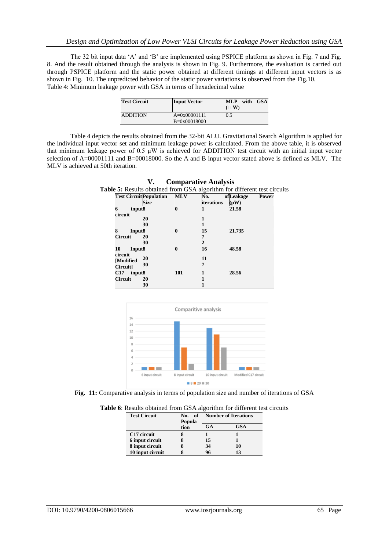The 32 bit input data 'A' and 'B' are implemented using PSPICE platform as shown in Fig. 7 and Fig. 8. And the result obtained through the analysis is shown in Fig. 9. Furthermore, the evaluation is carried out through PSPICE platform and the static power obtained at different timings at different input vectors is as shown in Fig. 10. The unpredicted behavior of the static power variations is observed from the Fig.10. Table 4: Minimum leakage power with GSA in terms of hexadecimal value

| <b>Test Circuit</b> | <b>Input Vector</b> | <b>MLP</b><br>with<br><b>GSA</b><br>$(\Box$ W |
|---------------------|---------------------|-----------------------------------------------|
| <b>ADDITION</b>     | $A=0x00001111$      | 0.5                                           |
|                     | $B = 0x00018000$    |                                               |

Table 4 depicts the results obtained from the 32-bit ALU. Gravitational Search Algorithm is applied for the individual input vector set and minimum leakage power is calculated. From the above table, it is observed that minimum leakage power of 0.5  $\mu$ W is achieved for ADDITION test circuit with an initial input vector selection of A=00001111 and B=00018000. So the A and B input vector stated above is defined as MLV. The MLV is achieved at 50th iteration.

| <b>Test Circuit Population</b> | <b>MLV</b> | No.            | ofLeakage | Power |
|--------------------------------|------------|----------------|-----------|-------|
| Size                           |            | iterations     | (pW)      |       |
| 6<br>input8                    | 0          |                | 21.58     |       |
| circuit                        |            |                |           |       |
| 20                             |            |                |           |       |
| 30                             |            |                |           |       |
| 8<br>Input <sub>8</sub>        | 0          | 15             | 21.735    |       |
| <b>Circuit</b><br>20           |            | 7              |           |       |
| 30                             |            | $\overline{2}$ |           |       |
| 10<br>Input <sub>8</sub>       | 0          | 16             | 48.58     |       |
| circuit                        |            |                |           |       |
| 20<br>[Modified                |            | 11             |           |       |
| 30<br>Circuit]                 |            | 7              |           |       |
| C17<br>input <sub>8</sub>      | 101        |                | 28.56     |       |
| <b>Circuit</b><br>20           |            |                |           |       |
| 30                             |            |                |           |       |

**V. Comparative Analysis Table 5:** Results obtained from GSA algorithm for different test circuits





| <b>Test Circuit</b>     | No. of<br>Popula | <b>Number of Iterations</b> |     |
|-------------------------|------------------|-----------------------------|-----|
|                         | tion             | GA                          | GSA |
| C <sub>17</sub> circuit |                  |                             |     |
| 6 input circuit         |                  | 15                          |     |
| 8 input circuit         |                  | 34                          | 10  |
| 10 input circuit        |                  | 96                          | 13  |